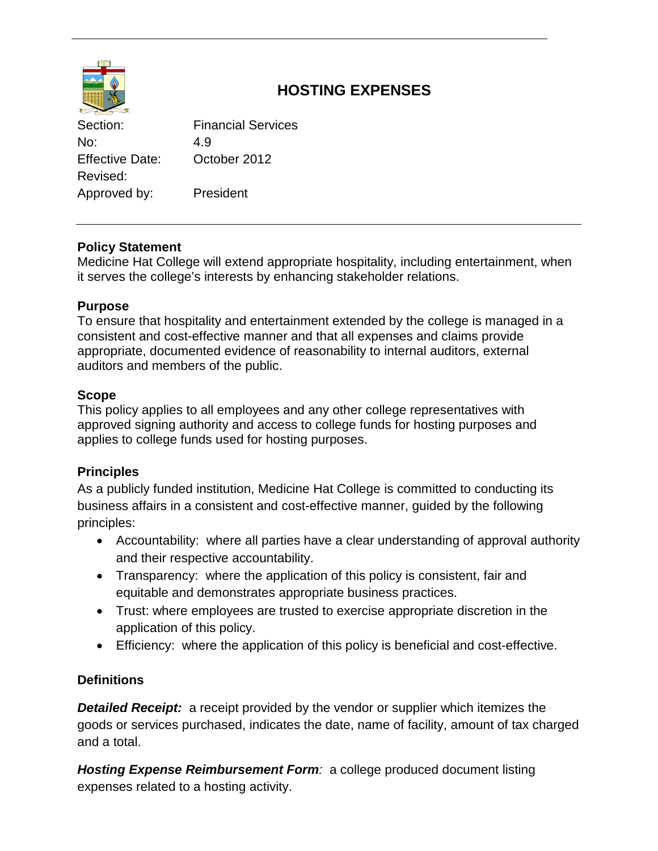

# **HOSTING EXPENSES**

Section: Financial Services No: 4.9 Effective Date: October 2012 Revised: Approved by: President

# **Policy Statement**

Medicine Hat College will extend appropriate hospitality, including entertainment, when it serves the college's interests by enhancing stakeholder relations.

# **Purpose**

To ensure that hospitality and entertainment extended by the college is managed in a consistent and cost-effective manner and that all expenses and claims provide appropriate, documented evidence of reasonability to internal auditors, external auditors and members of the public.

# **Scope**

This policy applies to all employees and any other college representatives with approved signing authority and access to college funds for hosting purposes and applies to college funds used for hosting purposes.

# **Principles**

As a publicly funded institution, Medicine Hat College is committed to conducting its business affairs in a consistent and cost-effective manner, guided by the following principles:

- Accountability: where all parties have a clear understanding of approval authority and their respective accountability.
- Transparency: where the application of this policy is consistent, fair and equitable and demonstrates appropriate business practices.
- Trust: where employees are trusted to exercise appropriate discretion in the application of this policy.
- Efficiency: where the application of this policy is beneficial and cost-effective.

# **Definitions**

**Detailed Receipt:** a receipt provided by the vendor or supplier which itemizes the goods or services purchased, indicates the date, name of facility, amount of tax charged and a total.

*Hosting Expense Reimbursement Form:* a college produced document listing expenses related to a hosting activity.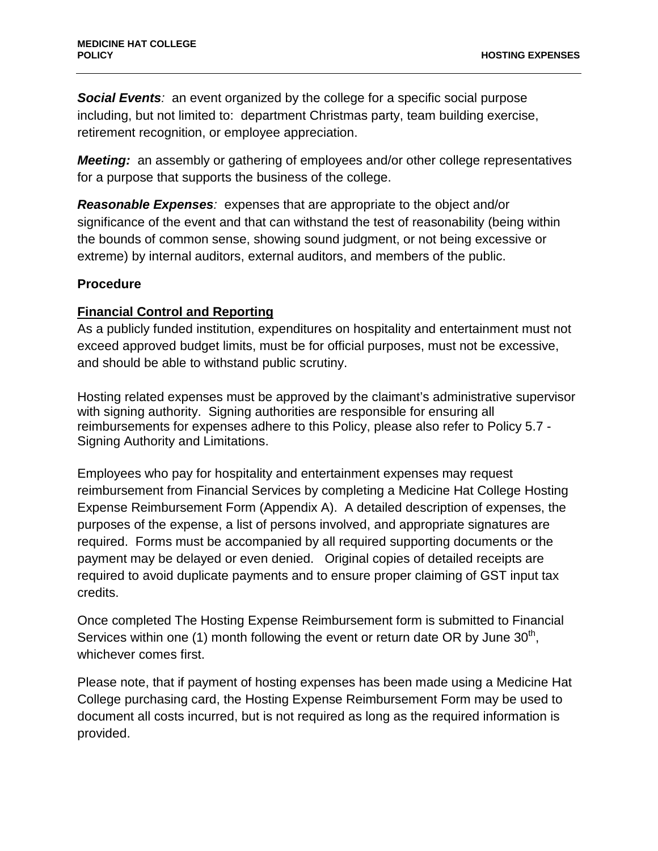*Social Events:* an event organized by the college for a specific social purpose including, but not limited to: department Christmas party, team building exercise, retirement recognition, or employee appreciation.

*Meeting:* an assembly or gathering of employees and/or other college representatives for a purpose that supports the business of the college.

*Reasonable Expenses:* expenses that are appropriate to the object and/or significance of the event and that can withstand the test of reasonability (being within the bounds of common sense, showing sound judgment, or not being excessive or extreme) by internal auditors, external auditors, and members of the public.

#### **Procedure**

#### **Financial Control and Reporting**

As a publicly funded institution, expenditures on hospitality and entertainment must not exceed approved budget limits, must be for official purposes, must not be excessive, and should be able to withstand public scrutiny.

Hosting related expenses must be approved by the claimant's administrative supervisor with signing authority. Signing authorities are responsible for ensuring all reimbursements for expenses adhere to this Policy, please also refer to Policy 5.7 - Signing Authority and Limitations.

Employees who pay for hospitality and entertainment expenses may request reimbursement from Financial Services by completing a Medicine Hat College Hosting Expense Reimbursement Form (Appendix A). A detailed description of expenses, the purposes of the expense, a list of persons involved, and appropriate signatures are required. Forms must be accompanied by all required supporting documents or the payment may be delayed or even denied. Original copies of detailed receipts are required to avoid duplicate payments and to ensure proper claiming of GST input tax credits.

Once completed The Hosting Expense Reimbursement form is submitted to Financial Services within one (1) month following the event or return date OR by June  $30<sup>th</sup>$ . whichever comes first.

Please note, that if payment of hosting expenses has been made using a Medicine Hat College purchasing card, the Hosting Expense Reimbursement Form may be used to document all costs incurred, but is not required as long as the required information is provided.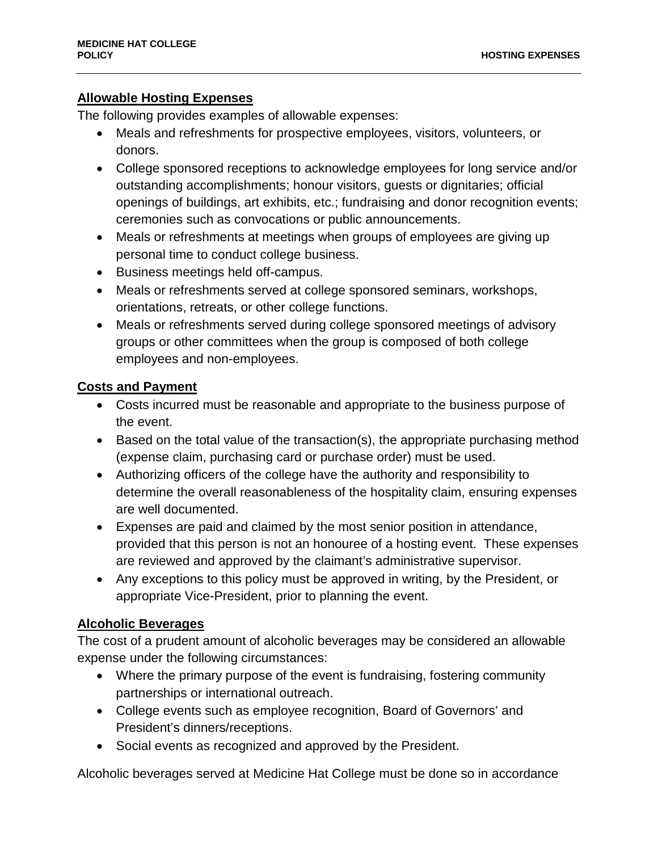#### **Allowable Hosting Expenses**

The following provides examples of allowable expenses:

- Meals and refreshments for prospective employees, visitors, volunteers, or donors.
- College sponsored receptions to acknowledge employees for long service and/or outstanding accomplishments; honour visitors, guests or dignitaries; official openings of buildings, art exhibits, etc.; fundraising and donor recognition events; ceremonies such as convocations or public announcements.
- Meals or refreshments at meetings when groups of employees are giving up personal time to conduct college business.
- Business meetings held off-campus.
- Meals or refreshments served at college sponsored seminars, workshops, orientations, retreats, or other college functions.
- Meals or refreshments served during college sponsored meetings of advisory groups or other committees when the group is composed of both college employees and non-employees.

#### **Costs and Payment**

- Costs incurred must be reasonable and appropriate to the business purpose of the event.
- Based on the total value of the transaction(s), the appropriate purchasing method (expense claim, purchasing card or purchase order) must be used.
- Authorizing officers of the college have the authority and responsibility to determine the overall reasonableness of the hospitality claim, ensuring expenses are well documented.
- Expenses are paid and claimed by the most senior position in attendance, provided that this person is not an honouree of a hosting event. These expenses are reviewed and approved by the claimant's administrative supervisor.
- Any exceptions to this policy must be approved in writing, by the President, or appropriate Vice-President, prior to planning the event.

#### **Alcoholic Beverages**

The cost of a prudent amount of alcoholic beverages may be considered an allowable expense under the following circumstances:

- Where the primary purpose of the event is fundraising, fostering community partnerships or international outreach.
- College events such as employee recognition, Board of Governors' and President's dinners/receptions.
- Social events as recognized and approved by the President.

Alcoholic beverages served at Medicine Hat College must be done so in accordance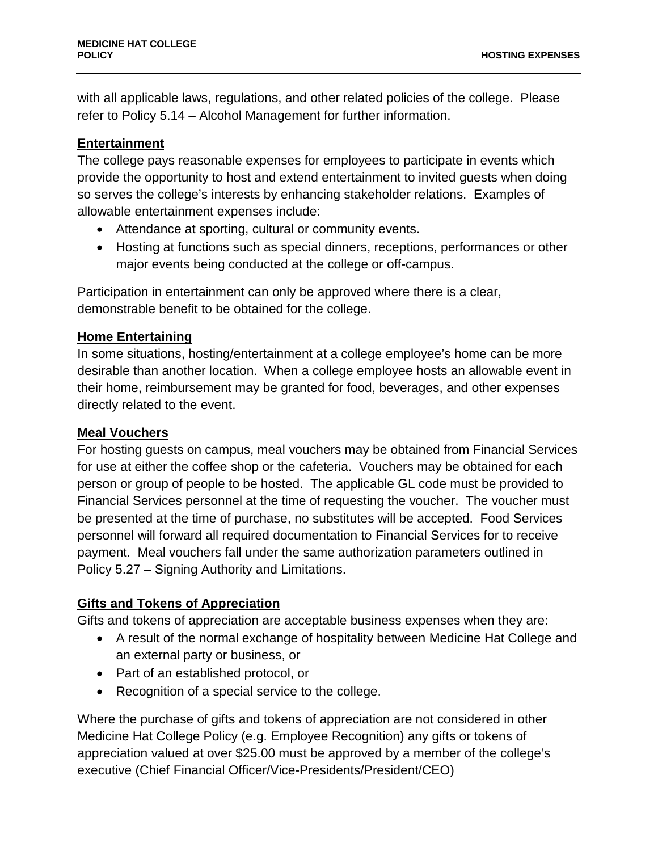with all applicable laws, regulations, and other related policies of the college. Please refer to Policy 5.14 – Alcohol Management for further information.

#### **Entertainment**

The college pays reasonable expenses for employees to participate in events which provide the opportunity to host and extend entertainment to invited guests when doing so serves the college's interests by enhancing stakeholder relations. Examples of allowable entertainment expenses include:

- Attendance at sporting, cultural or community events.
- Hosting at functions such as special dinners, receptions, performances or other major events being conducted at the college or off-campus.

Participation in entertainment can only be approved where there is a clear, demonstrable benefit to be obtained for the college.

#### **Home Entertaining**

In some situations, hosting/entertainment at a college employee's home can be more desirable than another location. When a college employee hosts an allowable event in their home, reimbursement may be granted for food, beverages, and other expenses directly related to the event.

#### **Meal Vouchers**

For hosting guests on campus, meal vouchers may be obtained from Financial Services for use at either the coffee shop or the cafeteria. Vouchers may be obtained for each person or group of people to be hosted. The applicable GL code must be provided to Financial Services personnel at the time of requesting the voucher. The voucher must be presented at the time of purchase, no substitutes will be accepted. Food Services personnel will forward all required documentation to Financial Services for to receive payment. Meal vouchers fall under the same authorization parameters outlined in Policy 5.27 – Signing Authority and Limitations.

## **Gifts and Tokens of Appreciation**

Gifts and tokens of appreciation are acceptable business expenses when they are:

- A result of the normal exchange of hospitality between Medicine Hat College and an external party or business, or
- Part of an established protocol, or
- Recognition of a special service to the college.

Where the purchase of gifts and tokens of appreciation are not considered in other Medicine Hat College Policy (e.g. Employee Recognition) any gifts or tokens of appreciation valued at over \$25.00 must be approved by a member of the college's executive (Chief Financial Officer/Vice-Presidents/President/CEO)